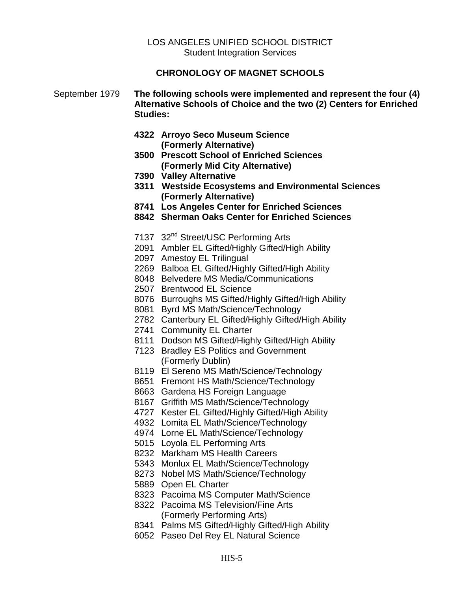## LOS ANGELES UNIFIED SCHOOL DISTRICT Student Integration Services

## **CHRONOLOGY OF MAGNET SCHOOLS**

## September 1979 **The following schools were implemented and represent the four (4) Alternative Schools of Choice and the two (2) Centers for Enriched Studies:**

- **4322 Arroyo Seco Museum Science (Formerly Alternative)**
- **3500 Prescott School of Enriched Sciences (Formerly Mid City Alternative)**
- **7390 Valley Alternative**
- **3311 Westside Ecosystems and Environmental Sciences (Formerly Alternative)**
- **8741 Los Angeles Center for Enriched Sciences**
- **8842 Sherman Oaks Center for Enriched Sciences**
- 7137 32<sup>nd</sup> Street/USC Performing Arts
- 2091 Ambler EL Gifted/Highly Gifted/High Ability
- 2097 Amestoy EL Trilingual
- 2269 Balboa EL Gifted/Highly Gifted/High Ability
- 8048 Belvedere MS Media/Communications
- 2507 Brentwood EL Science
- 8076 Burroughs MS Gifted/Highly Gifted/High Ability
- 8081 Byrd MS Math/Science/Technology
- 2782 Canterbury EL Gifted/Highly Gifted/High Ability
- 2741 Community EL Charter
- 8111 Dodson MS Gifted/Highly Gifted/High Ability
- 7123 Bradley ES Politics and Government (Formerly Dublin)
- 8119 El Sereno MS Math/Science/Technology
- 8651 Fremont HS Math/Science/Technology
- 8663 Gardena HS Foreign Language
- 8167 Griffith MS Math/Science/Technology
- 4727 Kester EL Gifted/Highly Gifted/High Ability
- 4932 Lomita EL Math/Science/Technology
- 4974 Lorne EL Math/Science/Technology
- 5015 Loyola EL Performing Arts
- 8232 Markham MS Health Careers
- 5343 Monlux EL Math/Science/Technology
- 8273 Nobel MS Math/Science/Technology
- 5889 Open EL Charter
- 8323 Pacoima MS Computer Math/Science
- 8322 Pacoima MS Television/Fine Arts (Formerly Performing Arts)
- 8341 Palms MS Gifted/Highly Gifted/High Ability
- 6052 Paseo Del Rey EL Natural Science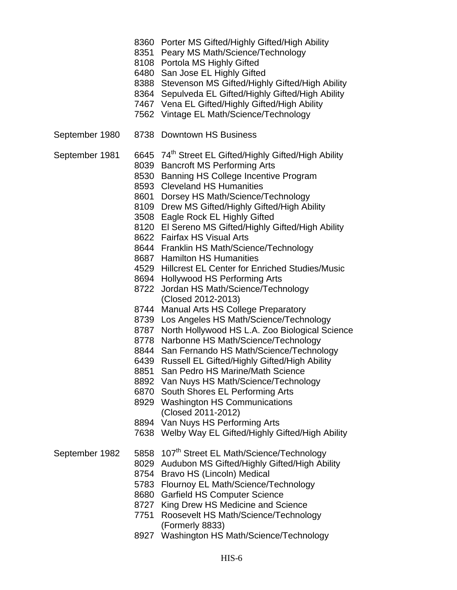- 8360 Porter MS Gifted/Highly Gifted/High Ability
- 8351 Peary MS Math/Science/Technology
- 8108 Portola MS Highly Gifted
- 6480 San Jose EL Highly Gifted
- 8388 Stevenson MS Gifted/Highly Gifted/High Ability
- 8364 Sepulveda EL Gifted/Highly Gifted/High Ability
- 7467 Vena EL Gifted/Highly Gifted/High Ability
- 7562 Vintage EL Math/Science/Technology
- September 1980 8738 Downtown HS Business
- September 1981 6645 74<sup>th</sup> Street EL Gifted/Highly Gifted/High Ability
	- 8039 Bancroft MS Performing Arts
		- 8530 Banning HS College Incentive Program
		- 8593 Cleveland HS Humanities
		- 8601 Dorsey HS Math/Science/Technology
	- 8109 Drew MS Gifted/Highly Gifted/High Ability
	- 3508 Eagle Rock EL Highly Gifted
	- 8120 El Sereno MS Gifted/Highly Gifted/High Ability
	- 8622 Fairfax HS Visual Arts
	- 8644 Franklin HS Math/Science/Technology
	- 8687 Hamilton HS Humanities
	- 4529 Hillcrest EL Center for Enriched Studies/Music
	- 8694 Hollywood HS Performing Arts
	- 8722 Jordan HS Math/Science/Technology (Closed 2012-2013)
	- 8744 Manual Arts HS College Preparatory
	- 8739 Los Angeles HS Math/Science/Technology
	- 8787 North Hollywood HS L.A. Zoo Biological Science
	- 8778 Narbonne HS Math/Science/Technology
	- 8844 San Fernando HS Math/Science/Technology
	- 6439 Russell EL Gifted/Highly Gifted/High Ability
	- 8851 San Pedro HS Marine/Math Science
	- 8892 Van Nuys HS Math/Science/Technology
	- 6870 South Shores EL Performing Arts
	- 8929 Washington HS Communications (Closed 2011-2012)
	- 8894 Van Nuys HS Performing Arts
	- 7638 Welby Way EL Gifted/Highly Gifted/High Ability
- September 1982 5858 107<sup>th</sup> Street EL Math/Science/Technology
	- 8029 Audubon MS Gifted/Highly Gifted/High Ability
		- 8754 Bravo HS (Lincoln) Medical
		- 5783 Flournoy EL Math/Science/Technology
		- 8680 Garfield HS Computer Science
		- 8727 King Drew HS Medicine and Science
		- 7751 Roosevelt HS Math/Science/Technology (Formerly 8833)
		- 8927 Washington HS Math/Science/Technology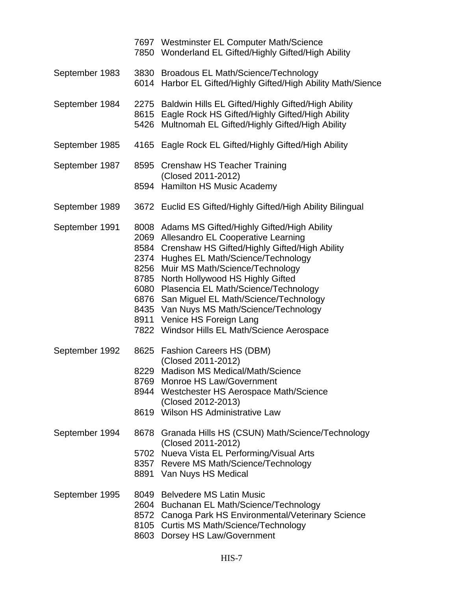|                | 7697 Westminster EL Computer Math/Science<br>7850 Wonderland EL Gifted/Highly Gifted/High Ability                                                                                                                                                                                                                                                                                                                                                                                                 |
|----------------|---------------------------------------------------------------------------------------------------------------------------------------------------------------------------------------------------------------------------------------------------------------------------------------------------------------------------------------------------------------------------------------------------------------------------------------------------------------------------------------------------|
| September 1983 | 3830 Broadous EL Math/Science/Technology<br>6014 Harbor EL Gifted/Highly Gifted/High Ability Math/Sience                                                                                                                                                                                                                                                                                                                                                                                          |
| September 1984 | 2275 Baldwin Hills EL Gifted/Highly Gifted/High Ability<br>8615 Eagle Rock HS Gifted/Highly Gifted/High Ability<br>5426 Multnomah EL Gifted/Highly Gifted/High Ability                                                                                                                                                                                                                                                                                                                            |
| September 1985 | 4165 Eagle Rock EL Gifted/Highly Gifted/High Ability                                                                                                                                                                                                                                                                                                                                                                                                                                              |
| September 1987 | 8595 Crenshaw HS Teacher Training<br>(Closed 2011-2012)<br>8594 Hamilton HS Music Academy                                                                                                                                                                                                                                                                                                                                                                                                         |
| September 1989 | 3672 Euclid ES Gifted/Highly Gifted/High Ability Bilingual                                                                                                                                                                                                                                                                                                                                                                                                                                        |
| September 1991 | 8008 Adams MS Gifted/Highly Gifted/High Ability<br>2069 Allesandro EL Cooperative Learning<br>8584 Crenshaw HS Gifted/Highly Gifted/High Ability<br>2374 Hughes EL Math/Science/Technology<br>8256 Muir MS Math/Science/Technology<br>8785 North Hollywood HS Highly Gifted<br>6080 Plasencia EL Math/Science/Technology<br>6876 San Miguel EL Math/Science/Technology<br>8435 Van Nuys MS Math/Science/Technology<br>8911 Venice HS Foreign Lang<br>7822 Windsor Hills EL Math/Science Aerospace |
| September 1992 | 8625 Fashion Careers HS (DBM)<br>(Closed 2011-2012)<br>8229 Madison MS Medical/Math/Science<br>8769 Monroe HS Law/Government<br>8944 Westchester HS Aerospace Math/Science<br>(Closed 2012-2013)<br>8619 Wilson HS Administrative Law                                                                                                                                                                                                                                                             |
| September 1994 | 8678 Granada Hills HS (CSUN) Math/Science/Technology<br>(Closed 2011-2012)<br>5702 Nueva Vista EL Performing/Visual Arts<br>8357 Revere MS Math/Science/Technology<br>8891 Van Nuys HS Medical                                                                                                                                                                                                                                                                                                    |
| September 1995 | 8049 Belvedere MS Latin Music<br>2604 Buchanan EL Math/Science/Technology<br>8572 Canoga Park HS Environmental/Veterinary Science<br>8105 Curtis MS Math/Science/Technology<br>8603 Dorsey HS Law/Government                                                                                                                                                                                                                                                                                      |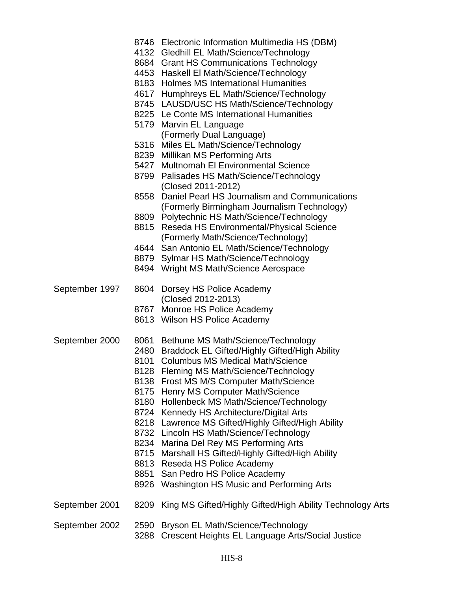|                | 5427<br>8558<br>8815                                                 | 8746 Electronic Information Multimedia HS (DBM)<br>4132 Gledhill EL Math/Science/Technology<br>8684 Grant HS Communications Technology<br>4453 Haskell El Math/Science/Technology<br>8183 Holmes MS International Humanities<br>4617 Humphreys EL Math/Science/Technology<br>8745 LAUSD/USC HS Math/Science/Technology<br>8225 Le Conte MS International Humanities<br>5179 Marvin EL Language<br>(Formerly Dual Language)<br>5316 Miles EL Math/Science/Technology<br>8239 Millikan MS Performing Arts<br>Multnomah El Environmental Science<br>8799 Palisades HS Math/Science/Technology<br>(Closed 2011-2012)<br>Daniel Pearl HS Journalism and Communications<br>(Formerly Birmingham Journalism Technology)<br>8809 Polytechnic HS Math/Science/Technology<br>Reseda HS Environmental/Physical Science<br>(Formerly Math/Science/Technology)<br>4644 San Antonio EL Math/Science/Technology<br>8879 Sylmar HS Math/Science/Technology<br>8494 Wright MS Math/Science Aerospace |
|----------------|----------------------------------------------------------------------|-------------------------------------------------------------------------------------------------------------------------------------------------------------------------------------------------------------------------------------------------------------------------------------------------------------------------------------------------------------------------------------------------------------------------------------------------------------------------------------------------------------------------------------------------------------------------------------------------------------------------------------------------------------------------------------------------------------------------------------------------------------------------------------------------------------------------------------------------------------------------------------------------------------------------------------------------------------------------------------|
| September 1997 |                                                                      | 8604 Dorsey HS Police Academy<br>(Closed 2012-2013)<br>8767 Monroe HS Police Academy<br>8613 Wilson HS Police Academy                                                                                                                                                                                                                                                                                                                                                                                                                                                                                                                                                                                                                                                                                                                                                                                                                                                               |
| September 2000 | 8061<br>2480<br>8101<br>8138<br>8724<br>8218<br>8234<br>8715<br>8851 | Bethune MS Math/Science/Technology<br><b>Braddock EL Gifted/Highly Gifted/High Ability</b><br><b>Columbus MS Medical Math/Science</b><br>8128 Fleming MS Math/Science/Technology<br>Frost MS M/S Computer Math/Science<br>8175 Henry MS Computer Math/Science<br>8180 Hollenbeck MS Math/Science/Technology<br>Kennedy HS Architecture/Digital Arts<br>Lawrence MS Gifted/Highly Gifted/High Ability<br>8732 Lincoln HS Math/Science/Technology<br>Marina Del Rey MS Performing Arts<br>Marshall HS Gifted/Highly Gifted/High Ability<br>8813 Reseda HS Police Academy<br>San Pedro HS Police Academy<br>8926 Washington HS Music and Performing Arts                                                                                                                                                                                                                                                                                                                               |
| September 2001 | 8209                                                                 | King MS Gifted/Highly Gifted/High Ability Technology Arts                                                                                                                                                                                                                                                                                                                                                                                                                                                                                                                                                                                                                                                                                                                                                                                                                                                                                                                           |
| September 2002 | 2590<br>3288                                                         | Bryson EL Math/Science/Technology<br>Crescent Heights EL Language Arts/Social Justice                                                                                                                                                                                                                                                                                                                                                                                                                                                                                                                                                                                                                                                                                                                                                                                                                                                                                               |